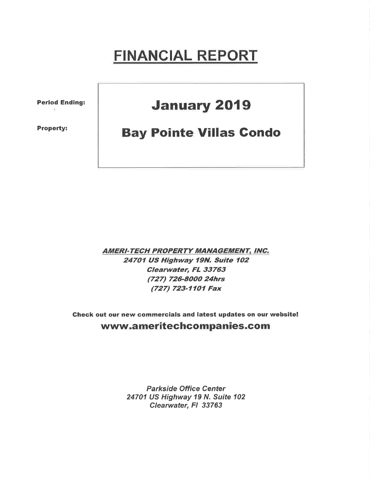# FINANCIAL REPORT

Period Ending:

Property:

## **January 2019**

## **Bay Pointe Villas Condo**

**AMERI-TECH PROPERTY MANAGEMENT, INC.** 24701 US Highway l9N, Suite 7O2 Clearwater, FL 33763 (727) 726-8000 24hrs (727) 723-1101 Fax

Check out our new commercials and latest updates on our website! www.ameritechcompanies.com

> Parkside Office Center 24701 US Highway 19 N. Suite 102 Clearwater, Fl 33763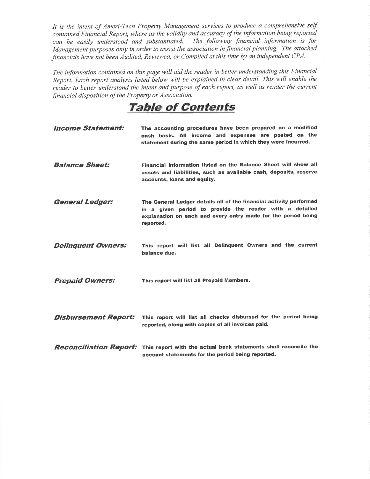It is the intent of Ameri-Tech Property Management services to produce a comprehensive self contained Financial Report, where as the validity and accuracy of the information being reported can be easily understood and substantiated. The following financial information is for Management purposes only in order to assist the association in financial planning. The attached financials have not been Audited, Reviewed, or Compiled at this time by an independent CPA.

The information contained on this page will aid the reader in better understanding this Financial Report. Each report analysis listed below will be explained in clear detail. This will enable the reader to better understand the intent and purpose of each report, as well as render the current financial disposition of the Property or Association.

### Table of Contents

| <i><b>Income Statement:</b></i> | The accounting procedures have been prepared on a modified<br>cash basis. All income and expenses are posted on the<br>statement during the same period in which they were incurred.                        |
|---------------------------------|-------------------------------------------------------------------------------------------------------------------------------------------------------------------------------------------------------------|
| <b>Balance Sheet:</b>           | Financial information listed on the Balance Sheet will show all<br>assets and liabilities, such as available cash, deposits, reserve<br>accounts, loans and equity.                                         |
| <b>General Ledger:</b>          | The General Ledger details all of the financial activity performed<br>in a given period to provide the reader with a detailed<br>explanation on each and every entry made for the period being<br>reported. |
| <b>Delinquent Owners:</b>       | This report will list all Delinquent Owners and the current<br>balance due.                                                                                                                                 |
| <b>Prepaid Owners:</b>          | This report will list all Prepaid Members.                                                                                                                                                                  |
| <b>Disbursement Report:</b>     | This report will list all checks disbursed for the period being<br>reported, along with copies of all invoices paid.                                                                                        |
|                                 | <b>Reconciliation Report:</b> This report with the actual bank statements shall reconcile the<br>account statements for the period being reported.                                                          |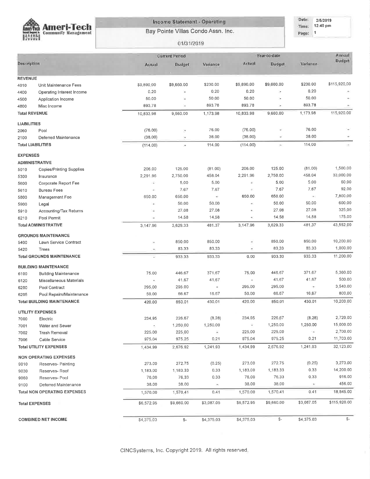

#### Income Statement - Operating

Bay Pointe Villas Condo Assn. Inc.

#### Date: 2/5/2019 Time: 12:40 pm Page: 1

#### 01/31/2019

|                    |                                     | Year-to-date<br><b>Current Period</b> |                          |            |            |                          |                 | Annual       |  |  |
|--------------------|-------------------------------------|---------------------------------------|--------------------------|------------|------------|--------------------------|-----------------|--------------|--|--|
| Description        |                                     | Actual                                | <b>Budget</b>            | Variance   | Actual     | <b>Budget</b>            | <b>Variance</b> | Budget       |  |  |
| <b>REVENUE</b>     |                                     |                                       |                          |            |            |                          |                 |              |  |  |
| 4010               | Unit Maintenance Fees               | \$9,890.00                            | \$9,660.00               | \$230.00   | \$9,890.00 | \$9,660.00               | \$230.00        | \$115,920,00 |  |  |
| 4400               | Operating Interest Income           | 0.20                                  | ¥                        | 0.20       | 0.20       | ÷                        | 0.20            |              |  |  |
| 4500               | Application Income                  | 50.00                                 |                          | 50.00      | 50.00      | ÷                        | 50,00           |              |  |  |
| 4800               | Misc Income                         | 893,78                                | $\overline{\phantom{a}}$ | 893,78     | 893.78     | ×                        | 893.78          |              |  |  |
|                    | <b>Total REVENUE</b>                | 10,833.98                             | 9,660.00                 | 1.173.98   | 10,833.98  | 9,660,00                 | 1,173.98        | 115,920.00   |  |  |
| <b>LIABILITIES</b> |                                     |                                       |                          |            |            |                          |                 |              |  |  |
| 2060               | Pool                                | (76.00)                               | $\tau$                   | 76.00      | (76.00)    | ٠                        | 76.00           |              |  |  |
| 2100               | Deferred Maintenance                | (38.00)                               | ÷                        | 38,00      | (38.00)    |                          | 38.00           |              |  |  |
|                    | <b>Total LIABILITIES</b>            | (114.00)                              | ÷                        | 114.00     | (114.00)   | $\overline{\phantom{a}}$ | 114,00          | ÷            |  |  |
| <b>EXPENSES</b>    |                                     |                                       |                          |            |            |                          |                 |              |  |  |
|                    | <b>ADMINISTRATIVE</b>               |                                       | 125.00                   | (81.00)    | 206.00     | 125.00                   | (81.00)         | 1,500.00     |  |  |
| 5010               | Copies/Printing Supplies            | 206.00                                | 2,750.00                 | 458.04     | 2,291.96   | 2,750.00                 | 458.04          | 33,000.00    |  |  |
| 5300               | Insurance                           | 2,291.96<br>i E                       | 5.00                     | 5.00       | ¥,         | 5.00                     | 5.00            | 60.00        |  |  |
| 5600               | Corporate Report Fee                | ×.                                    | 7.67                     | 7.67       | ÷,         | 7.67                     | 7.67            | 92.00        |  |  |
| 5610               | <b>Bureau Fees</b>                  | 650.00                                | 650.00                   | ÷          | 650.00     | 650.00                   | $\bullet$ :     | 7,800.00     |  |  |
| 5800               | Management Fee                      | g.                                    | 50.00                    | 50.00      | à.         | 50.00                    | 50,00           | 600.00       |  |  |
| 5900<br>5910       | Legal<br>Accounting/Tax Returns     | $\sim$                                | 27,08                    | 27,08      | ÷.         | 27.08                    | 27.08           | 325.00       |  |  |
| 6210               | Pool Permit                         | ÷                                     | 14.58                    | 14.58      | ä,         | 14.58                    | 14.58           | 175.00       |  |  |
|                    | <b>Total ADMINISTRATIVE</b>         | 3,147.96                              | 3,629.33                 | 481.37     | 3,147.96   | 3,629.33                 | 481,37          | 43,552.00    |  |  |
|                    | <b>GROUNDS MAINTENANCE</b>          |                                       |                          |            |            |                          |                 |              |  |  |
| 5400               | Lawn Service Contract               | ×                                     | 850,00                   | 850.00     | ë          | 850,00                   | 850.00          | 10,200.00    |  |  |
| 5420               | Trees                               |                                       | 83.33                    | 83.33      | ÷          | 83,33                    | 83.33           | 1,000.00     |  |  |
|                    | <b>Total GROUNDS MAINTENANCE</b>    |                                       | 933.33                   | 933,33     | 0.00       | 933.33                   | 933.33          | 11,200.00    |  |  |
|                    | <b>BUILDING MAINTENANCE</b>         |                                       |                          |            |            |                          |                 |              |  |  |
| 6100               | <b>Building Maintenance</b>         | 75.00                                 | 446.67                   | 371.67     | 75.00      | 446.67                   | 371,67          | 5,360.00     |  |  |
| 6120               | Miscellaneous Materials             |                                       | 41.67                    | 41,67      | ×          | 41.67                    | 41.67           | 500.00       |  |  |
| 6200               | Pool Contract                       | 295 00                                | 295.00                   | ×          | 295.00     | 295.00                   | ×               | 3,540.00     |  |  |
| 6205               | Pool Repairs/Maintenance            | 50.00                                 | 66.67                    | 16.67      | 50.00      | 66.67                    | 16.67           | 800.00       |  |  |
|                    | <b>Total BUILDING MAINTENANCE</b>   | 420.00                                | 850.01                   | 430.01     | 420,00     | 850.01                   | 430.01          | 10,200.00    |  |  |
|                    | <b>UTILITY EXPENSES</b>             |                                       |                          |            |            |                          |                 |              |  |  |
| 7000               | Electric                            | 234.95                                | 226.67                   | (8.28)     | 234.95     | 226,67                   | (8.28)          | 2,720.00     |  |  |
| 7001               | Water and Sewer                     |                                       | 1,250,00                 | 1,250.00   |            | 1,250.00                 | 1,250.00        | 15,000.00    |  |  |
| 7002               | Trash Removal                       | 225,00                                | 225,00                   |            | 225,00     | 225.00                   | $\sim$          | 2,700.00     |  |  |
| 7006               | Cable Service                       | 975.04                                | 975.25                   | 0,21       | 975.04     | 975.25                   | 0.21            | 11,703.00    |  |  |
|                    | <b>Total UTILITY EXPENSES</b>       | 1,434.99                              | 2,676.92                 | 1,241.93   | 1,434,99   | 2,676.92                 | 1,241.93        | 32,123,00    |  |  |
|                    | <b>NON OPERATING EXPENSES</b>       |                                       |                          |            |            |                          |                 |              |  |  |
| 9010               | Reserves- Painting                  | 273.00                                | 272.75                   | (0.25)     | 273.00     | 272.75                   | (0.25)          | 3,273.00     |  |  |
| 9030               | Reserves-Roof                       | 1,183.00                              | 1,183,33                 | 0,33       | 1,183.00   | 1,183.33                 | 0,33            | 14,200.00    |  |  |
| 9060               | Reserves-Pool                       | 76.00                                 | 76,33                    | 0.33       | 76.00      | 76.33                    | 0.33            | 916.00       |  |  |
| 9100               | Deferred Maintenance                | 38.00                                 | 38.00                    | ×          | 38.00      | 38.00                    |                 | 456.00       |  |  |
|                    | <b>Total NON OPERATING EXPENSES</b> | 1,570.00                              | 1,570.41                 | 0.41       | 1,570.00   | 1,570.41                 | 0.41            | 18,845.00    |  |  |
|                    | <b>Total EXPENSES</b>               | \$6,572.95                            | \$9,660.00               | \$3,087.05 | \$6,572.95 | \$9,660.00               | \$3,087.05      | \$115,920.00 |  |  |
|                    | <b>COMBINED NET INCOME</b>          | \$4,375.03                            | \$-                      | \$4,375.03 | \$4,375.03 | $-\$                     | \$4,375.03      | \$-          |  |  |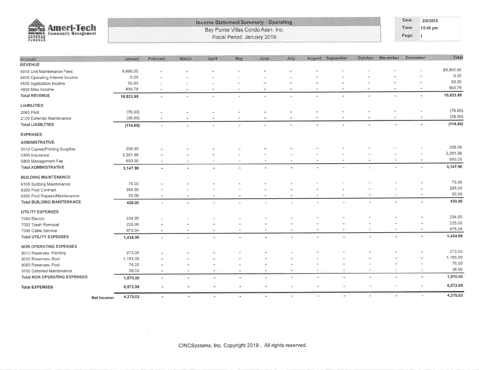

#### **Income Statement Summary - Operating** Bay Pointe Villas Condo Assn. Inc.

Fiscal Period: January 2019

Date: 2/5/2019 Time: 12:40 pm

Page: 1

| Account                             |             | danuary.  | February     | March                    | April                    | May       | June                     | July                     | August                   | September                | October                   | November | December                 | Total      |
|-------------------------------------|-------------|-----------|--------------|--------------------------|--------------------------|-----------|--------------------------|--------------------------|--------------------------|--------------------------|---------------------------|----------|--------------------------|------------|
| <b>REVENUE</b>                      |             |           |              |                          |                          |           |                          |                          |                          |                          |                           |          |                          |            |
| 4010 Unit Maintenance Fees          |             | 9,890.00  | i.           |                          |                          |           |                          | ÷                        |                          |                          |                           |          | ×                        | \$9,890.00 |
| 4400 Operating Interest Income      |             | 0.20      | ٠            |                          |                          |           |                          | ×                        |                          |                          |                           |          | ζö                       | 0.20       |
| 4500 Application Income             |             | 50.00     |              |                          |                          |           | ÷.                       | ¥                        | í.                       |                          | ÷,                        |          |                          | 50.00      |
| 4800 Misc Income                    |             | 893,78    | ٠            | ×                        | $\ddot{}$                | ×         | $\blacksquare$           | $\sim$                   | $\bullet$                |                          | $\sim$                    |          | ÷                        | 893.78     |
| <b>Total REVENUE</b>                |             | 10,833.98 | ¥.           | $\overline{\mathcal{M}}$ | ¥                        | $\bullet$ | ÷                        | ¥.                       | $\bullet$                | 25                       | $\bullet$ (               | D.       | $\sim$                   | 10,833.98  |
| <b>LIABILITIES</b>                  |             |           |              |                          |                          |           |                          |                          |                          |                          |                           |          |                          |            |
| 2060 Pool                           |             | (76.00)   | ×,           | $\hat{~}$                | ×                        | <b>A</b>  | ٠                        | U.                       | ÷                        | ÷                        | ×                         |          | ٠                        | (76.00)    |
| 2100 Deferred Maintenance           |             | (38.00)   |              |                          | ۷                        | ÷.        | ÷                        |                          | ž.                       | $\sim$                   |                           |          | é.                       | (38.00)    |
| <b>Total LIABILITIES</b>            |             | (114.00)  | $\sim$       | ×                        | $\overline{\phantom{a}}$ | $\bullet$ |                          |                          |                          |                          |                           | ÌД.      | ¥                        | (114.00)   |
| <b>EXPENSES</b>                     |             |           |              |                          |                          |           |                          |                          |                          |                          |                           |          |                          |            |
| <b>ADMINISTRATIVE</b>               |             |           |              |                          |                          |           |                          |                          |                          |                          |                           |          |                          |            |
| 5010 Copies/Printing Supplies       |             | 206.00    |              |                          |                          |           | ×                        | ×                        |                          |                          |                           |          | $\bar{\nu}$              | 206.00     |
| 5300 Insurance                      |             | 2,291.96  |              |                          | i.                       | $\bar{a}$ |                          |                          |                          |                          |                           |          |                          | 2,291.96   |
| 5800 Management Fee                 |             | 650.00    | $\bullet$    | ÷                        | j.                       |           | $\sim$                   |                          | $\overline{\phantom{a}}$ | ÷.                       | ÷                         | 4        | D                        | 650.00     |
| <b>Total ADMINISTRATIVE</b>         |             | 3,147.96  | ۰            | ×                        | 91                       | œ,        | $\bullet$                | ٠                        | ÷                        | ×.                       | ۰                         | ÷        | ×                        | 3,147.96   |
| <b>BUILDING MAINTENANCE</b>         |             |           |              |                          |                          |           |                          |                          |                          |                          |                           |          |                          |            |
| 6100 Building Maintenance           |             | 75.00     |              |                          |                          |           |                          | $\overline{\phantom{a}}$ |                          |                          |                           |          | $\bar{a}$                | 75.00      |
| 6200 Pool Contract                  |             | 295.00    |              |                          |                          |           |                          | $\mathbf{r}$             |                          |                          |                           |          |                          | 295.00     |
| 6205 Pool Repairs/Maintenance       |             | 50.00     |              | $\blacksquare$           | $\rightarrow$            | ۰         |                          |                          | $\overline{\phantom{a}}$ | s                        | ÷                         | z        | Ψ                        | 50.00      |
| <b>Total BUILDING MAINTENANCE</b>   |             | 420.00    | $\mathbf{a}$ | ÷                        | ×                        | ۰         | $\mathcal{A}$ :          | ×                        | ×                        | $\mathcal{F}$ )          | ÷                         | ٠        | ×                        | 420.00     |
| UTILITY EXPENSES                    |             |           |              |                          |                          |           |                          |                          |                          |                          |                           |          |                          |            |
| 7000 Electric                       |             | 234.95    |              |                          |                          | ٠         |                          |                          |                          |                          |                           |          |                          | 234.95     |
| 7002 Trash Removal                  |             | 225.00    |              |                          |                          |           |                          | ×.                       |                          | $\sim$                   |                           |          | $\overline{\phantom{a}}$ | 225.00     |
| 7006 Cable Service                  |             | 975,04    |              | ×                        | ×.                       | ×.        | $\,$                     | $\bar{\tau}$             | $\overline{\phantom{a}}$ | ٠                        | $\overline{\phantom{a}}$  |          | ٠                        | 975.04     |
| <b>Total UTILITY EXPENSES</b>       |             | 1,434.99  | ×.           | э.                       | $\left( \bullet \right)$ | ×         | $\overline{\phantom{a}}$ | ð.                       | $\overline{\phantom{a}}$ | Ö.                       | ٠                         | Ξ        | ×                        | 1,434.99   |
| <b>NON OPERATING EXPENSES</b>       |             |           |              |                          |                          |           |                          |                          |                          |                          |                           |          |                          |            |
| 9010 Reserves- Painting             |             | 273.00    |              | ÷                        | ×                        | ×,        |                          |                          |                          |                          |                           |          |                          | 273.00     |
| 9030 Reserves- Roof                 |             | 1,183.00  | ÷            | ٠                        | i.                       |           |                          |                          |                          |                          |                           |          | 売                        | 1,183.00   |
| 9060 Reserves- Pool                 |             | 76.00     |              | ÷,                       |                          |           |                          |                          |                          |                          |                           |          | $\sim$                   | 76.00      |
| 9100 Deferred Maintenance           |             | 38.00     | 岸            | $\sim$                   | ×                        | ×         | ¥                        | Ξ                        | $\overline{\phantom{a}}$ | $\overline{\phantom{a}}$ |                           | ×,       | $\overline{\phantom{a}}$ | 38,00      |
| <b>Total NON OPERATING EXPENSES</b> |             | 1,570.00  |              | ٠                        | í.                       |           |                          |                          | ц,                       | ä.                       | $\overline{\mathbf{a}}$ ) | $\omega$ | $\sim$                   | 1,570.00   |
| <b>Total EXPENSES</b>               |             | 6,572.95  | œ.           | $\sim$                   | Gw.                      | ×         | ٠                        | ×                        | - 1                      | œ.                       |                           | t.       | ÷                        | 6,572.95   |
|                                     | Net Income: | 4,375.03  | ×.           | w                        | ÷.                       | z         | Ξ                        | ×.                       | ×,                       | ä.                       | ٠                         | ×        | ×                        | 4,375.03   |

ú.